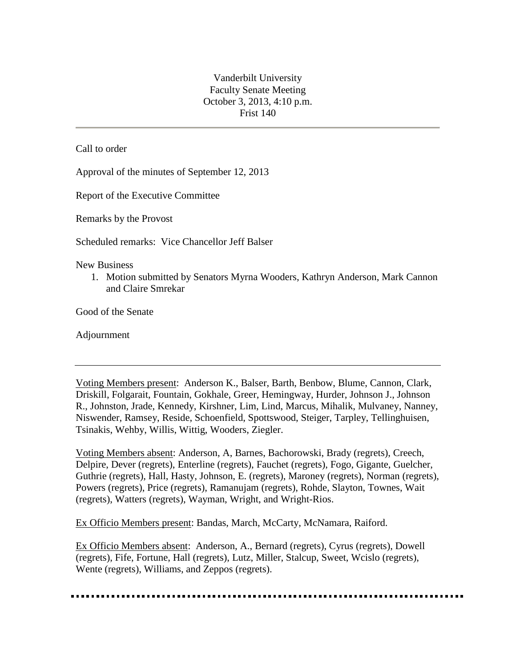Vanderbilt University Faculty Senate Meeting October 3, 2013, 4:10 p.m. Frist 140

Call to order

Approval of the minutes of September 12, 2013

Report of the Executive Committee

Remarks by the Provost

Scheduled remarks: Vice Chancellor Jeff Balser

New Business

1. Motion submitted by Senators Myrna Wooders, Kathryn Anderson, Mark Cannon and Claire Smrekar

Good of the Senate

Adjournment

Voting Members present: Anderson K., Balser, Barth, Benbow, Blume, Cannon, Clark, Driskill, Folgarait, Fountain, Gokhale, Greer, Hemingway, Hurder, Johnson J., Johnson R., Johnston, Jrade, Kennedy, Kirshner, Lim, Lind, Marcus, Mihalik, Mulvaney, Nanney, Niswender, Ramsey, Reside, Schoenfield, Spottswood, Steiger, Tarpley, Tellinghuisen, Tsinakis, Wehby, Willis, Wittig, Wooders, Ziegler.

Voting Members absent: Anderson, A, Barnes, Bachorowski, Brady (regrets), Creech, Delpire, Dever (regrets), Enterline (regrets), Fauchet (regrets), Fogo, Gigante, Guelcher, Guthrie (regrets), Hall, Hasty, Johnson, E. (regrets), Maroney (regrets), Norman (regrets), Powers (regrets), Price (regrets), Ramanujam (regrets), Rohde, Slayton, Townes, Wait (regrets), Watters (regrets), Wayman, Wright, and Wright-Rios.

Ex Officio Members present: Bandas, March, McCarty, McNamara, Raiford.

Ex Officio Members absent: Anderson, A., Bernard (regrets), Cyrus (regrets), Dowell (regrets), Fife, Fortune, Hall (regrets), Lutz, Miller, Stalcup, Sweet, Wcislo (regrets), Wente (regrets), Williams, and Zeppos (regrets).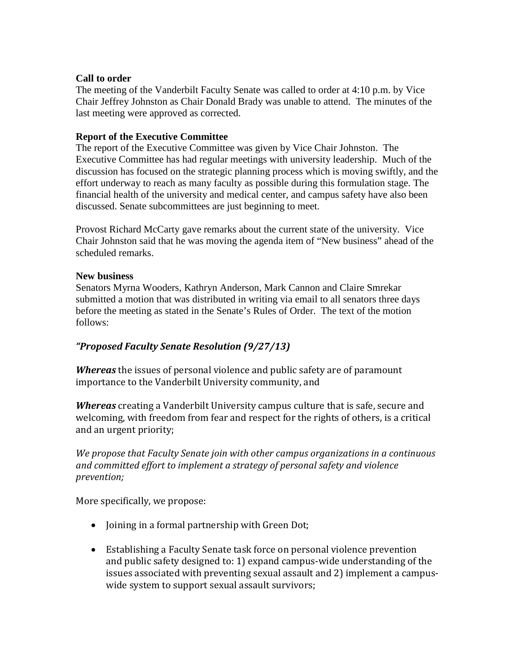#### **Call to order**

The meeting of the Vanderbilt Faculty Senate was called to order at 4:10 p.m. by Vice Chair Jeffrey Johnston as Chair Donald Brady was unable to attend. The minutes of the last meeting were approved as corrected.

### **Report of the Executive Committee**

The report of the Executive Committee was given by Vice Chair Johnston. The Executive Committee has had regular meetings with university leadership. Much of the discussion has focused on the strategic planning process which is moving swiftly, and the effort underway to reach as many faculty as possible during this formulation stage. The financial health of the university and medical center, and campus safety have also been discussed. Senate subcommittees are just beginning to meet.

Provost Richard McCarty gave remarks about the current state of the university. Vice Chair Johnston said that he was moving the agenda item of "New business" ahead of the scheduled remarks.

#### **New business**

Senators Myrna Wooders, Kathryn Anderson, Mark Cannon and Claire Smrekar submitted a motion that was distributed in writing via email to all senators three days before the meeting as stated in the Senate's Rules of Order. The text of the motion follows:

# *"Proposed Faculty Senate Resolution (9/27/13)*

*Whereas* the issues of personal violence and public safety are of paramount importance to the Vanderbilt University community, and

*Whereas* creating a Vanderbilt University campus culture that is safe, secure and welcoming, with freedom from fear and respect for the rights of others, is a critical and an urgent priority;

*We propose that Faculty Senate join with other campus organizations in a continuous and committed effort to implement a strategy of personal safety and violence prevention;* 

More specifically, we propose:

- Joining in a formal partnership with Green Dot;
- Establishing a Faculty Senate task force on personal violence prevention and public safety designed to: 1) expand campus-wide understanding of the issues associated with preventing sexual assault and 2) implement a campuswide system to support sexual assault survivors;